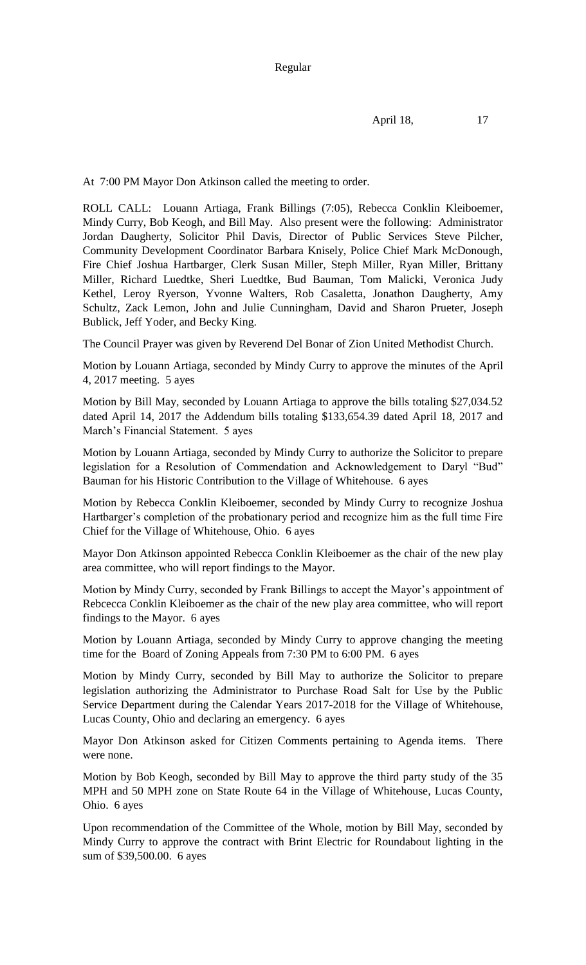At 7:00 PM Mayor Don Atkinson called the meeting to order.

ROLL CALL: Louann Artiaga, Frank Billings (7:05), Rebecca Conklin Kleiboemer, Mindy Curry, Bob Keogh, and Bill May. Also present were the following: Administrator Jordan Daugherty, Solicitor Phil Davis, Director of Public Services Steve Pilcher, Community Development Coordinator Barbara Knisely, Police Chief Mark McDonough, Fire Chief Joshua Hartbarger, Clerk Susan Miller, Steph Miller, Ryan Miller, Brittany Miller, Richard Luedtke, Sheri Luedtke, Bud Bauman, Tom Malicki, Veronica Judy Kethel, Leroy Ryerson, Yvonne Walters, Rob Casaletta, Jonathon Daugherty, Amy Schultz, Zack Lemon, John and Julie Cunningham, David and Sharon Prueter, Joseph Bublick, Jeff Yoder, and Becky King.

The Council Prayer was given by Reverend Del Bonar of Zion United Methodist Church.

Motion by Louann Artiaga, seconded by Mindy Curry to approve the minutes of the April 4, 2017 meeting. 5 ayes

Motion by Bill May, seconded by Louann Artiaga to approve the bills totaling \$27,034.52 dated April 14, 2017 the Addendum bills totaling \$133,654.39 dated April 18, 2017 and March's Financial Statement. 5 ayes

Motion by Louann Artiaga, seconded by Mindy Curry to authorize the Solicitor to prepare legislation for a Resolution of Commendation and Acknowledgement to Daryl "Bud" Bauman for his Historic Contribution to the Village of Whitehouse. 6 ayes

Motion by Rebecca Conklin Kleiboemer, seconded by Mindy Curry to recognize Joshua Hartbarger's completion of the probationary period and recognize him as the full time Fire Chief for the Village of Whitehouse, Ohio. 6 ayes

Mayor Don Atkinson appointed Rebecca Conklin Kleiboemer as the chair of the new play area committee, who will report findings to the Mayor.

Motion by Mindy Curry, seconded by Frank Billings to accept the Mayor's appointment of Rebcecca Conklin Kleiboemer as the chair of the new play area committee, who will report findings to the Mayor. 6 ayes

Motion by Louann Artiaga, seconded by Mindy Curry to approve changing the meeting time for the Board of Zoning Appeals from 7:30 PM to 6:00 PM. 6 ayes

Motion by Mindy Curry, seconded by Bill May to authorize the Solicitor to prepare legislation authorizing the Administrator to Purchase Road Salt for Use by the Public Service Department during the Calendar Years 2017-2018 for the Village of Whitehouse, Lucas County, Ohio and declaring an emergency. 6 ayes

Mayor Don Atkinson asked for Citizen Comments pertaining to Agenda items. There were none.

Motion by Bob Keogh, seconded by Bill May to approve the third party study of the 35 MPH and 50 MPH zone on State Route 64 in the Village of Whitehouse, Lucas County, Ohio. 6 ayes

Upon recommendation of the Committee of the Whole, motion by Bill May, seconded by Mindy Curry to approve the contract with Brint Electric for Roundabout lighting in the sum of \$39,500.00. 6 ayes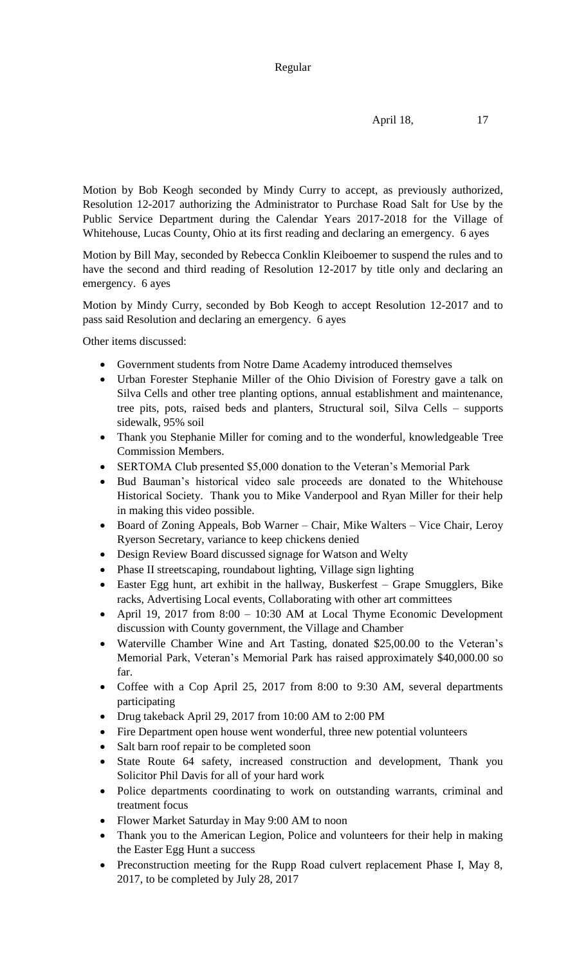April 18, 17

Motion by Bob Keogh seconded by Mindy Curry to accept, as previously authorized, Resolution 12-2017 authorizing the Administrator to Purchase Road Salt for Use by the Public Service Department during the Calendar Years 2017-2018 for the Village of Whitehouse, Lucas County, Ohio at its first reading and declaring an emergency. 6 ayes

Motion by Bill May, seconded by Rebecca Conklin Kleiboemer to suspend the rules and to have the second and third reading of Resolution 12-2017 by title only and declaring an emergency. 6 ayes

Motion by Mindy Curry, seconded by Bob Keogh to accept Resolution 12-2017 and to pass said Resolution and declaring an emergency. 6 ayes

Other items discussed:

- Government students from Notre Dame Academy introduced themselves
- Urban Forester Stephanie Miller of the Ohio Division of Forestry gave a talk on Silva Cells and other tree planting options, annual establishment and maintenance, tree pits, pots, raised beds and planters, Structural soil, Silva Cells – supports sidewalk, 95% soil
- Thank you Stephanie Miller for coming and to the wonderful, knowledgeable Tree Commission Members.
- SERTOMA Club presented \$5,000 donation to the Veteran's Memorial Park
- Bud Bauman's historical video sale proceeds are donated to the Whitehouse Historical Society. Thank you to Mike Vanderpool and Ryan Miller for their help in making this video possible.
- Board of Zoning Appeals, Bob Warner Chair, Mike Walters Vice Chair, Leroy Ryerson Secretary, variance to keep chickens denied
- Design Review Board discussed signage for Watson and Welty
- Phase II streetscaping, roundabout lighting, Village sign lighting
- Easter Egg hunt, art exhibit in the hallway, Buskerfest Grape Smugglers, Bike racks, Advertising Local events, Collaborating with other art committees
- April 19, 2017 from 8:00 10:30 AM at Local Thyme Economic Development discussion with County government, the Village and Chamber
- Waterville Chamber Wine and Art Tasting, donated \$25,00.00 to the Veteran's Memorial Park, Veteran's Memorial Park has raised approximately \$40,000.00 so far.
- Coffee with a Cop April 25, 2017 from 8:00 to 9:30 AM, several departments participating
- Drug takeback April 29, 2017 from 10:00 AM to 2:00 PM
- Fire Department open house went wonderful, three new potential volunteers
- Salt barn roof repair to be completed soon
- State Route 64 safety, increased construction and development, Thank you Solicitor Phil Davis for all of your hard work
- Police departments coordinating to work on outstanding warrants, criminal and treatment focus
- Flower Market Saturday in May 9:00 AM to noon
- Thank you to the American Legion, Police and volunteers for their help in making the Easter Egg Hunt a success
- Preconstruction meeting for the Rupp Road culvert replacement Phase I, May 8, 2017, to be completed by July 28, 2017